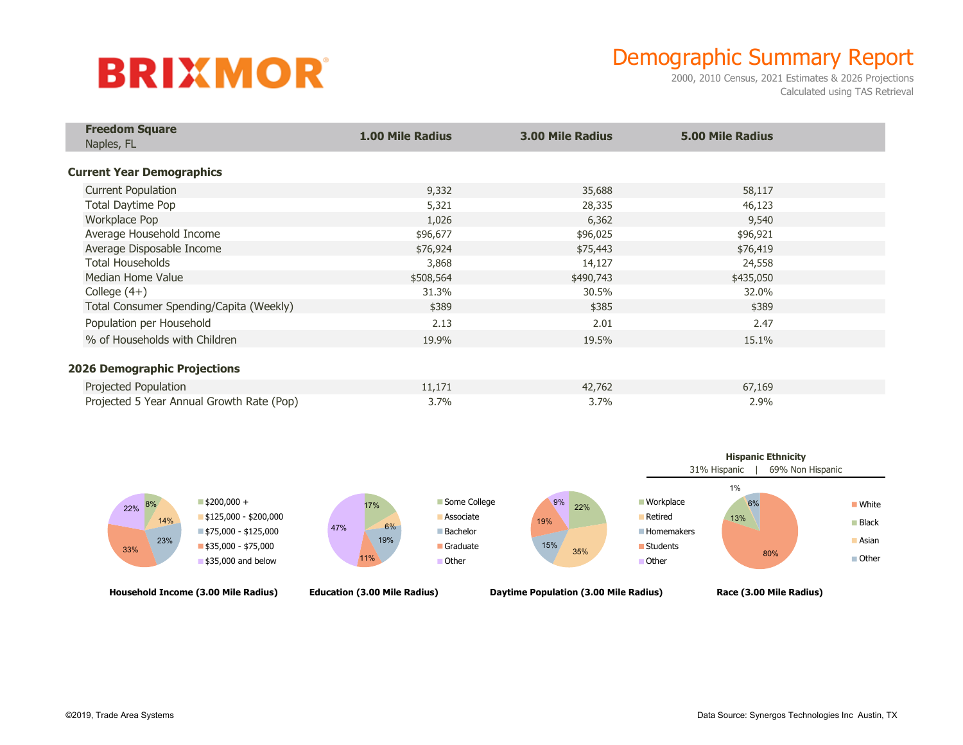# **BRIXMOR**

## Demographic Summary Report

2000, 2010 Census, 2021 Estimates & 2026 Projections Calculated using TAS Retrieval

| <b>Freedom Square</b><br>Naples, FL       | <b>1.00 Mile Radius</b> | <b>3.00 Mile Radius</b> | <b>5.00 Mile Radius</b> |  |
|-------------------------------------------|-------------------------|-------------------------|-------------------------|--|
| <b>Current Year Demographics</b>          |                         |                         |                         |  |
| <b>Current Population</b>                 | 9,332                   | 35,688                  | 58,117                  |  |
| Total Daytime Pop                         | 5,321                   | 28,335                  | 46,123                  |  |
| Workplace Pop                             | 1,026                   | 6,362                   | 9,540                   |  |
| Average Household Income                  | \$96,677                | \$96,025                | \$96,921                |  |
| Average Disposable Income                 | \$76,924                | \$75,443                | \$76,419                |  |
| <b>Total Households</b>                   | 3,868                   | 14,127                  | 24,558                  |  |
| Median Home Value                         | \$508,564               | \$490,743               | \$435,050               |  |
| College $(4+)$                            | 31.3%                   | 30.5%                   | 32.0%                   |  |
| Total Consumer Spending/Capita (Weekly)   | \$389                   | \$385                   | \$389                   |  |
| Population per Household                  | 2.13                    | 2.01                    | 2.47                    |  |
| % of Households with Children             | 19.9%                   | 19.5%                   | 15.1%                   |  |
| <b>2026 Demographic Projections</b>       |                         |                         |                         |  |
| Projected Population                      | 11,171                  | 42,762                  | 67,169                  |  |
| Projected 5 Year Annual Growth Rate (Pop) | 3.7%                    | 3.7%                    | 2.9%                    |  |